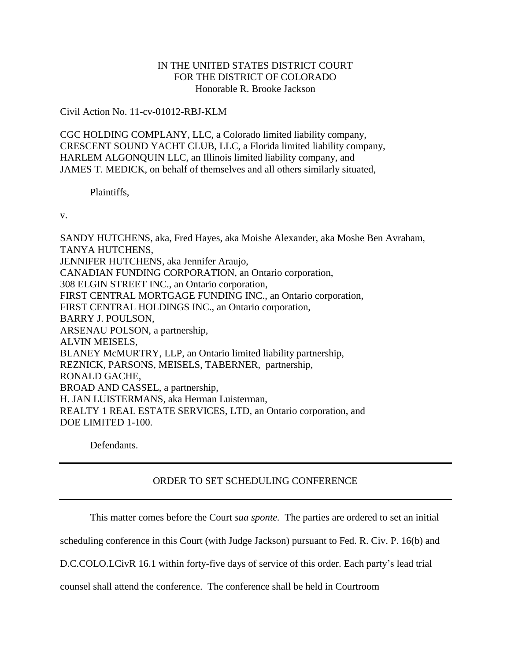## IN THE UNITED STATES DISTRICT COURT FOR THE DISTRICT OF COLORADO Honorable R. Brooke Jackson

## Civil Action No. 11-cv-01012-RBJ-KLM

CGC HOLDING COMPLANY, LLC, a Colorado limited liability company, CRESCENT SOUND YACHT CLUB, LLC, a Florida limited liability company, HARLEM ALGONQUIN LLC, an Illinois limited liability company, and JAMES T. MEDICK, on behalf of themselves and all others similarly situated,

Plaintiffs,

v.

SANDY HUTCHENS, aka, Fred Hayes, aka Moishe Alexander, aka Moshe Ben Avraham, TANYA HUTCHENS, JENNIFER HUTCHENS, aka Jennifer Araujo, CANADIAN FUNDING CORPORATION, an Ontario corporation, 308 ELGIN STREET INC., an Ontario corporation, FIRST CENTRAL MORTGAGE FUNDING INC., an Ontario corporation, FIRST CENTRAL HOLDINGS INC., an Ontario corporation, BARRY J. POULSON, ARSENAU POLSON, a partnership, ALVIN MEISELS, BLANEY McMURTRY, LLP, an Ontario limited liability partnership, REZNICK, PARSONS, MEISELS, TABERNER, partnership, RONALD GACHE, BROAD AND CASSEL, a partnership, H. JAN LUISTERMANS, aka Herman Luisterman, REALTY 1 REAL ESTATE SERVICES, LTD, an Ontario corporation, and DOE LIMITED 1-100.

Defendants.

## ORDER TO SET SCHEDULING CONFERENCE

This matter comes before the Court *sua sponte.* The parties are ordered to set an initial

scheduling conference in this Court (with Judge Jackson) pursuant to Fed. R. Civ. P. 16(b) and

D.C.COLO.LCivR 16.1 within forty-five days of service of this order. Each party's lead trial

counsel shall attend the conference. The conference shall be held in Courtroom